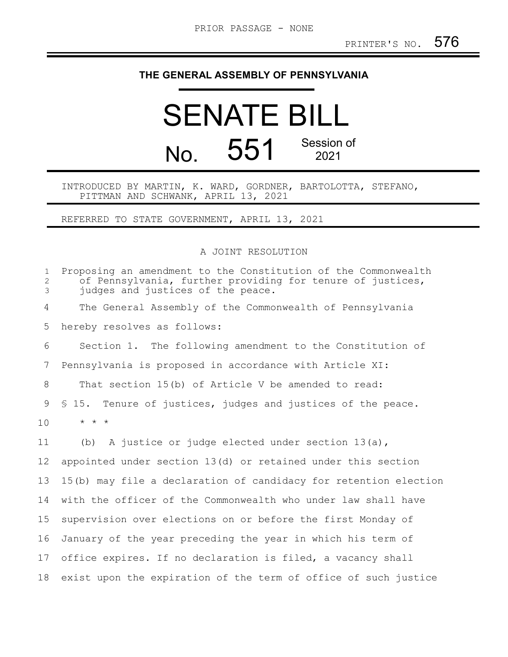## **THE GENERAL ASSEMBLY OF PENNSYLVANIA**

## SENATE BILL No. 551 Session of 2021

## INTRODUCED BY MARTIN, K. WARD, GORDNER, BARTOLOTTA, STEFANO, PITTMAN AND SCHWANK, APRIL 13, 2021

REFERRED TO STATE GOVERNMENT, APRIL 13, 2021

A JOINT RESOLUTION

| $\mathbf{1}$<br>2<br>3 | Proposing an amendment to the Constitution of the Commonwealth<br>of Pennsylvania, further providing for tenure of justices,<br>judges and justices of the peace. |
|------------------------|-------------------------------------------------------------------------------------------------------------------------------------------------------------------|
| 4                      | The General Assembly of the Commonwealth of Pennsylvania                                                                                                          |
| 5                      | hereby resolves as follows:                                                                                                                                       |
| 6                      | Section 1. The following amendment to the Constitution of                                                                                                         |
| 7                      | Pennsylvania is proposed in accordance with Article XI:                                                                                                           |
| 8                      | That section 15(b) of Article V be amended to read:                                                                                                               |
| 9                      | \$15. Tenure of justices, judges and justices of the peace.                                                                                                       |
| 10                     | $\star$ $\star$ $\star$                                                                                                                                           |
| 11                     | A justice or judge elected under section $13(a)$ ,<br>(b)                                                                                                         |
| 12                     | appointed under section 13(d) or retained under this section                                                                                                      |
| 13                     | 15(b) may file a declaration of candidacy for retention election                                                                                                  |
| 14                     | with the officer of the Commonwealth who under law shall have                                                                                                     |
| 15                     | supervision over elections on or before the first Monday of                                                                                                       |
| 16                     | January of the year preceding the year in which his term of                                                                                                       |
| 17                     | office expires. If no declaration is filed, a vacancy shall                                                                                                       |
| 18                     | exist upon the expiration of the term of office of such justice                                                                                                   |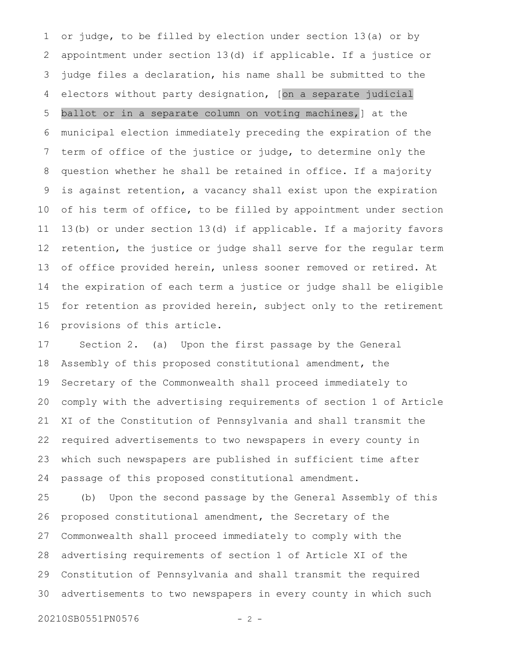or judge, to be filled by election under section 13(a) or by appointment under section 13(d) if applicable. If a justice or judge files a declaration, his name shall be submitted to the electors without party designation, [on a separate judicial ballot or in a separate column on voting machines,] at the municipal election immediately preceding the expiration of the term of office of the justice or judge, to determine only the question whether he shall be retained in office. If a majority is against retention, a vacancy shall exist upon the expiration of his term of office, to be filled by appointment under section 13(b) or under section 13(d) if applicable. If a majority favors retention, the justice or judge shall serve for the regular term of office provided herein, unless sooner removed or retired. At the expiration of each term a justice or judge shall be eligible for retention as provided herein, subject only to the retirement provisions of this article. 1 2 3 4 5 6 7 8 9 10 11 12 13 14 15 16

Section 2. (a) Upon the first passage by the General Assembly of this proposed constitutional amendment, the Secretary of the Commonwealth shall proceed immediately to comply with the advertising requirements of section 1 of Article XI of the Constitution of Pennsylvania and shall transmit the required advertisements to two newspapers in every county in which such newspapers are published in sufficient time after passage of this proposed constitutional amendment. 17 18 19 20 21 22 23 24

(b) Upon the second passage by the General Assembly of this proposed constitutional amendment, the Secretary of the Commonwealth shall proceed immediately to comply with the advertising requirements of section 1 of Article XI of the Constitution of Pennsylvania and shall transmit the required advertisements to two newspapers in every county in which such 25 26 27 28 29 30

20210SB0551PN0576 - 2 -